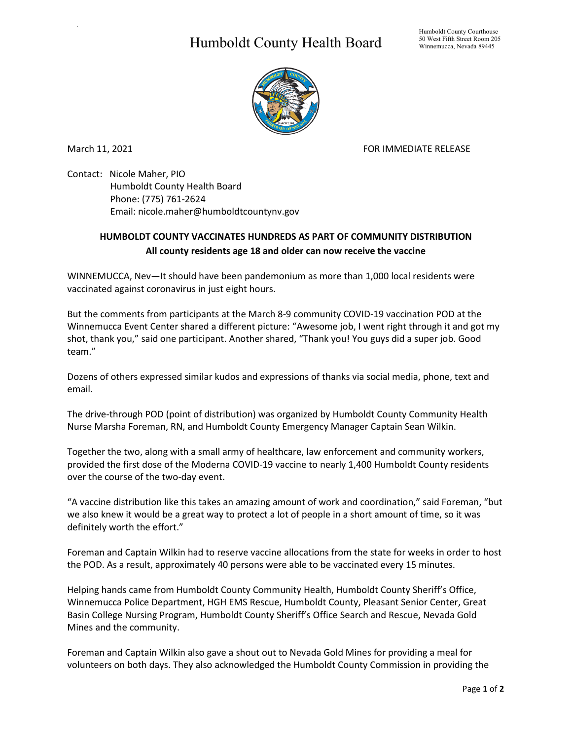## Humboldt County Health Board



.

March 11, 2021 **FOR IMMEDIATE RELEASE** 

Contact: Nicole Maher, PIO Humboldt County Health Board Phone: (775) 761-2624 Email: nicole.maher@humboldtcountynv.gov

## **HUMBOLDT COUNTY VACCINATES HUNDREDS AS PART OF COMMUNITY DISTRIBUTION All county residents age 18 and older can now receive the vaccine**

WINNEMUCCA, Nev—It should have been pandemonium as more than 1,000 local residents were vaccinated against coronavirus in just eight hours.

But the comments from participants at the March 8-9 community COVID-19 vaccination POD at the Winnemucca Event Center shared a different picture: "Awesome job, I went right through it and got my shot, thank you," said one participant. Another shared, "Thank you! You guys did a super job. Good team."

Dozens of others expressed similar kudos and expressions of thanks via social media, phone, text and email.

The drive-through POD (point of distribution) was organized by Humboldt County Community Health Nurse Marsha Foreman, RN, and Humboldt County Emergency Manager Captain Sean Wilkin.

Together the two, along with a small army of healthcare, law enforcement and community workers, provided the first dose of the Moderna COVID-19 vaccine to nearly 1,400 Humboldt County residents over the course of the two-day event.

"A vaccine distribution like this takes an amazing amount of work and coordination," said Foreman, "but we also knew it would be a great way to protect a lot of people in a short amount of time, so it was definitely worth the effort."

Foreman and Captain Wilkin had to reserve vaccine allocations from the state for weeks in order to host the POD. As a result, approximately 40 persons were able to be vaccinated every 15 minutes.

Helping hands came from Humboldt County Community Health, Humboldt County Sheriff's Office, Winnemucca Police Department, HGH EMS Rescue, Humboldt County, Pleasant Senior Center, Great Basin College Nursing Program, Humboldt County Sheriff's Office Search and Rescue, Nevada Gold Mines and the community.

Foreman and Captain Wilkin also gave a shout out to Nevada Gold Mines for providing a meal for volunteers on both days. They also acknowledged the Humboldt County Commission in providing the